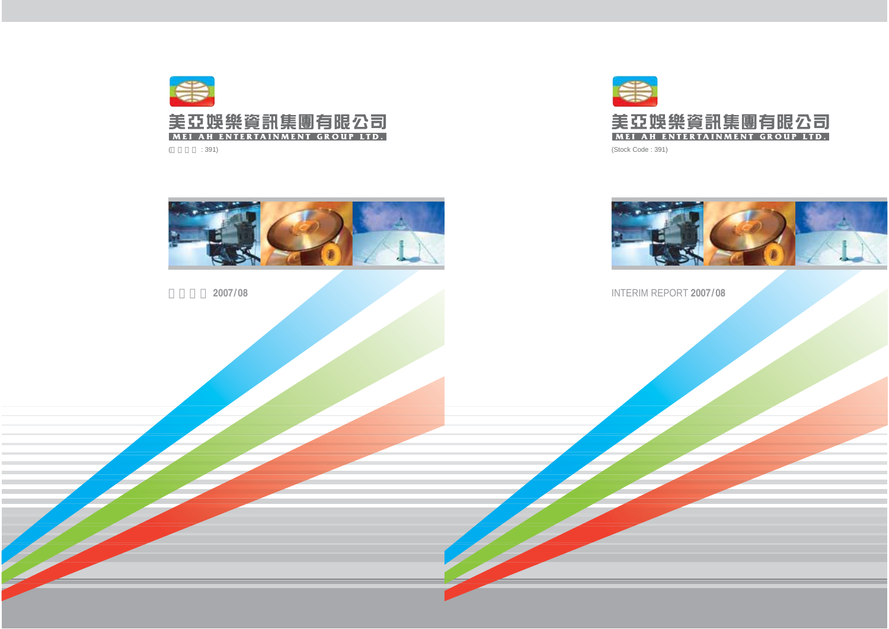

(Stock Code : 391)



## INTERIM REPORT **2007/ 08**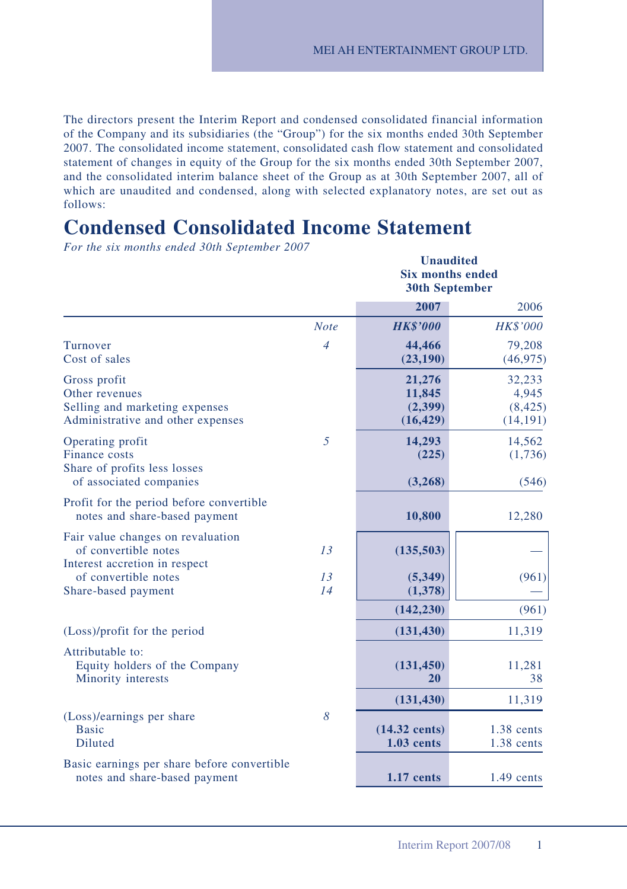**Unaudited**

The directors present the Interim Report and condensed consolidated financial information of the Company and its subsidiaries (the "Group") for the six months ended 30th September 2007. The consolidated income statement, consolidated cash flow statement and consolidated statement of changes in equity of the Group for the six months ended 30th September 2007, and the consolidated interim balance sheet of the Group as at 30th September 2007, all of which are unaudited and condensed, along with selected explanatory notes, are set out as follows:

# **Condensed Consolidated Income Statement**

*For the six months ended 30th September 2007*

|                                                                                                                                           |                | <b>Six months ended</b><br><b>30th September</b> |                                          |  |
|-------------------------------------------------------------------------------------------------------------------------------------------|----------------|--------------------------------------------------|------------------------------------------|--|
|                                                                                                                                           |                | 2007                                             | 2006                                     |  |
|                                                                                                                                           | <b>Note</b>    | <b>HK\$'000</b>                                  | <b>HK\$'000</b>                          |  |
| Turnover<br>Cost of sales                                                                                                                 | $\overline{4}$ | 44,466<br>(23, 190)                              | 79,208<br>(46, 975)                      |  |
| Gross profit<br>Other revenues<br>Selling and marketing expenses<br>Administrative and other expenses                                     |                | 21,276<br>11,845<br>(2,399)<br>(16, 429)         | 32,233<br>4,945<br>(8, 425)<br>(14, 191) |  |
| Operating profit<br>Finance costs<br>Share of profits less losses<br>of associated companies                                              | 5              | 14,293<br>(225)<br>(3,268)                       | 14,562<br>(1,736)<br>(546)               |  |
| Profit for the period before convertible<br>notes and share-based payment                                                                 |                | 10,800                                           | 12,280                                   |  |
| Fair value changes on revaluation<br>of convertible notes<br>Interest accretion in respect<br>of convertible notes<br>Share-based payment | 13<br>13<br>14 | (135,503)<br>(5,349)<br>(1,378)                  | (961)                                    |  |
|                                                                                                                                           |                | (142, 230)                                       | (961)                                    |  |
| (Loss)/profit for the period                                                                                                              |                | (131, 430)                                       | 11,319                                   |  |
| Attributable to:<br>Equity holders of the Company<br>Minority interests                                                                   |                | (131, 450)<br>20                                 | 11,281<br>38                             |  |
|                                                                                                                                           |                | (131, 430)                                       | 11,319                                   |  |
| (Loss)/earnings per share<br><b>Basic</b><br><b>Diluted</b>                                                                               | 8              | $(14.32 \text{ cents})$<br>$1.03$ cents          | $1.38$ cents<br>1.38 cents               |  |
| Basic earnings per share before convertible<br>notes and share-based payment                                                              |                | $1.17$ cents                                     | $1.49$ cents                             |  |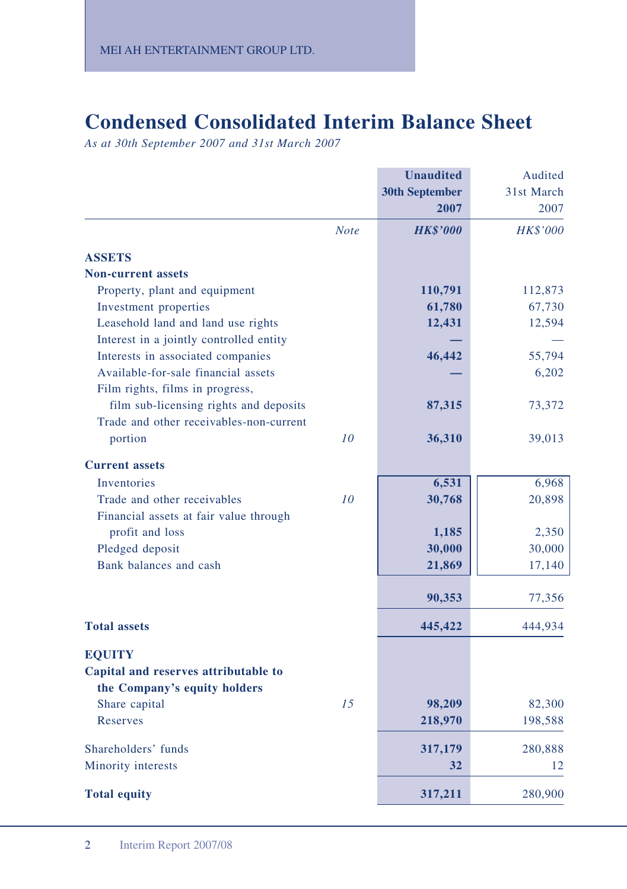# **Condensed Consolidated Interim Balance Sheet**

*As at 30th September 2007 and 31st March 2007*

|                                         |             | <b>Unaudited</b>      | Audited    |
|-----------------------------------------|-------------|-----------------------|------------|
|                                         |             | <b>30th September</b> | 31st March |
|                                         |             | 2007                  | 2007       |
|                                         | <b>Note</b> | <b>HK\$'000</b>       | HK\$'000   |
| <b>ASSETS</b>                           |             |                       |            |
| <b>Non-current assets</b>               |             |                       |            |
| Property, plant and equipment           |             | 110,791               | 112,873    |
| Investment properties                   |             | 61,780                | 67,730     |
| Leasehold land and land use rights      |             | 12,431                | 12,594     |
| Interest in a jointly controlled entity |             |                       |            |
| Interests in associated companies       |             | 46,442                | 55,794     |
| Available-for-sale financial assets     |             |                       | 6,202      |
| Film rights, films in progress,         |             |                       |            |
| film sub-licensing rights and deposits  |             | 87,315                | 73,372     |
| Trade and other receivables-non-current |             |                       |            |
| portion                                 | 10          | 36,310                | 39,013     |
| <b>Current assets</b>                   |             |                       |            |
| <b>Inventories</b>                      |             | 6,531                 | 6,968      |
| Trade and other receivables             | 10          | 30,768                | 20,898     |
| Financial assets at fair value through  |             |                       |            |
| profit and loss                         |             | 1,185                 | 2,350      |
| Pledged deposit                         |             | 30,000                | 30,000     |
| Bank balances and cash                  |             | 21,869                | 17,140     |
|                                         |             | 90,353                | 77,356     |
| <b>Total assets</b>                     |             | 445,422               | 444,934    |
| <b>EQUITY</b>                           |             |                       |            |
| Capital and reserves attributable to    |             |                       |            |
| the Company's equity holders            |             |                       |            |
| Share capital                           | 15          | 98,209                | 82,300     |
| Reserves                                |             | 218,970               | 198,588    |
|                                         |             |                       |            |
| Shareholders' funds                     |             | 317,179               | 280,888    |
| Minority interests                      |             | 32                    | 12         |
| <b>Total equity</b>                     |             | 317,211               | 280,900    |
|                                         |             |                       |            |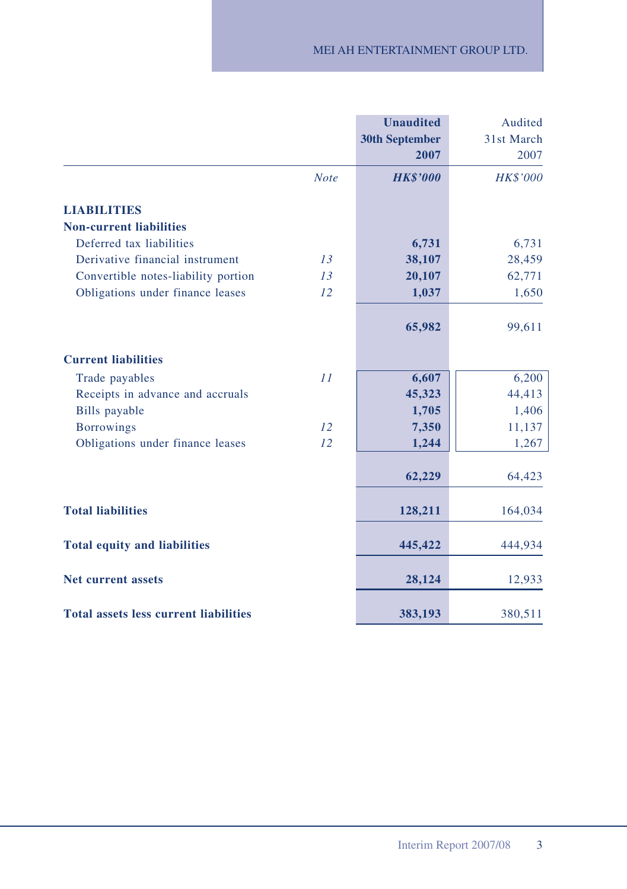|                                              |             | <b>Unaudited</b><br><b>30th September</b><br>2007 | Audited<br>31st March<br>2007 |
|----------------------------------------------|-------------|---------------------------------------------------|-------------------------------|
|                                              | <b>Note</b> | <b>HK\$'000</b>                                   | <b>HK\$'000</b>               |
| <b>LIABILITIES</b>                           |             |                                                   |                               |
| <b>Non-current liabilities</b>               |             |                                                   |                               |
| Deferred tax liabilities                     |             | 6,731                                             | 6,731                         |
| Derivative financial instrument              | 13          | 38,107                                            | 28,459                        |
| Convertible notes-liability portion          | 13          | 20,107                                            | 62,771                        |
| Obligations under finance leases             | 12          | 1,037                                             | 1,650                         |
|                                              |             | 65,982                                            | 99,611                        |
| <b>Current liabilities</b>                   |             |                                                   |                               |
| Trade payables                               | 11          | 6,607                                             | 6,200                         |
| Receipts in advance and accruals             |             | 45,323                                            | 44,413                        |
| Bills payable                                |             | 1,705                                             | 1,406                         |
| <b>Borrowings</b>                            | 12          | 7,350                                             | 11,137                        |
| Obligations under finance leases             | 12          | 1,244                                             | 1,267                         |
|                                              |             | 62,229                                            | 64,423                        |
| <b>Total liabilities</b>                     |             | 128,211                                           | 164,034                       |
| <b>Total equity and liabilities</b>          |             | 445,422                                           | 444,934                       |
| <b>Net current assets</b>                    |             | 28,124                                            | 12,933                        |
| <b>Total assets less current liabilities</b> |             | 383,193                                           | 380,511                       |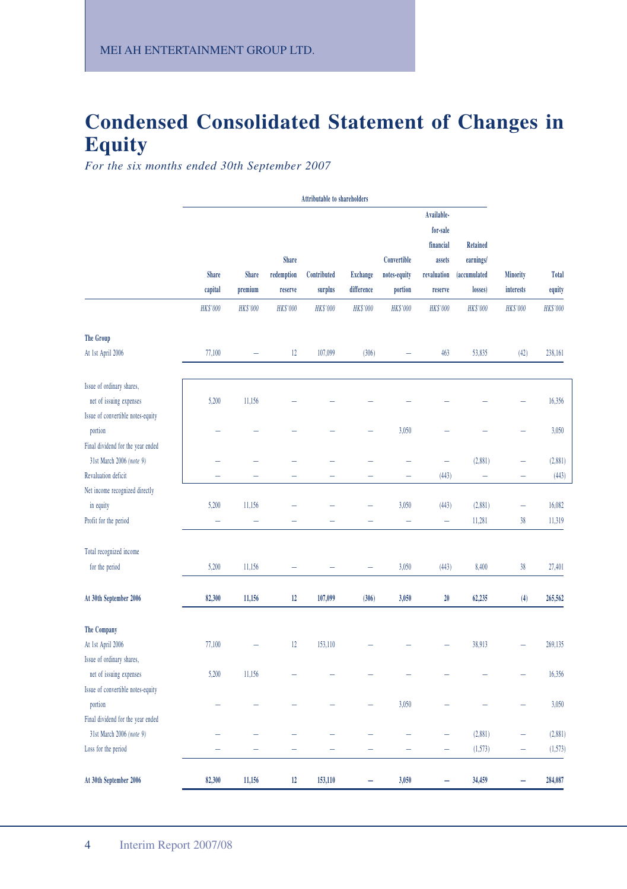# **Condensed Consolidated Statement of Changes in Equity**

*For the six months ended 30th September 2007*

|                                                        | <b>Attributable to shareholders</b> |                         |                                       |                          |                               |                                        |                                                                         |                                                                |                          |                        |
|--------------------------------------------------------|-------------------------------------|-------------------------|---------------------------------------|--------------------------|-------------------------------|----------------------------------------|-------------------------------------------------------------------------|----------------------------------------------------------------|--------------------------|------------------------|
|                                                        | Share<br>capital                    | <b>Share</b><br>premium | <b>Share</b><br>redemption<br>reserve | Contributed<br>surplus   | <b>Exchange</b><br>difference | Convertible<br>notes-equity<br>portion | Available-<br>for-sale<br>financial<br>assets<br>revaluation<br>reserve | <b>Retained</b><br>earnings/<br><i>(accumulated</i><br>losses) | Minority<br>interests    | <b>Total</b><br>equity |
|                                                        | <b>HK\$'000</b>                     | <b>HKS'000</b>          | <b>HK\$'000</b>                       | <b>HK\$'000</b>          | <b>HK\$'000</b>               | <b>HK\$'000</b>                        | <b>HK\$'000</b>                                                         | <b>HK\$'000</b>                                                | <b>HK\$'000</b>          | <b>HK\$'000</b>        |
| <b>The Group</b>                                       |                                     |                         |                                       |                          |                               |                                        |                                                                         |                                                                |                          |                        |
| At 1st April 2006                                      | 77,100                              | -                       | 12                                    | 107,099                  | (306)                         |                                        | 463                                                                     | 53,835                                                         | (42)                     | 238,161                |
| Issue of ordinary shares,                              |                                     |                         |                                       |                          |                               |                                        |                                                                         |                                                                |                          |                        |
| net of issuing expenses                                | 5,200                               | 11,156                  |                                       |                          |                               |                                        |                                                                         |                                                                |                          | 16,356                 |
| Issue of convertible notes-equity<br>portion           |                                     |                         |                                       |                          |                               | 3,050                                  |                                                                         |                                                                |                          | 3,050                  |
| Final dividend for the year ended                      |                                     |                         |                                       |                          |                               |                                        |                                                                         |                                                                |                          |                        |
| 31st March 2006 (note 9)<br><b>Revaluation deficit</b> | $\sim$                              | ÷                       | ÷                                     | $\overline{\phantom{0}}$ | 1                             | 1                                      | L.<br>(443)                                                             | (2,881)<br>$\equiv$                                            | ÷<br>۳                   | (2,881)<br>(443)       |
| Net income recognized directly                         |                                     |                         |                                       |                          |                               |                                        |                                                                         |                                                                |                          |                        |
| in equity                                              | 5,200                               | 11,156                  |                                       |                          |                               | 3,050                                  | (443)                                                                   | (2,881)                                                        | $\overline{\phantom{0}}$ | 16,082                 |
| Profit for the period                                  | ÷                                   | Ē,                      |                                       |                          |                               | ÷                                      | 1                                                                       | 11,281                                                         | 38                       | 11,319                 |
| Total recognized income                                |                                     |                         |                                       |                          |                               |                                        |                                                                         |                                                                |                          |                        |
| for the period                                         | 5,200                               | 11,156                  |                                       |                          |                               | 3,050                                  | (443)                                                                   | 8,400                                                          | 38                       | 27,401                 |
| At 30th September 2006                                 | 82,300                              | 11,156                  | 12                                    | 107,099                  | (306)                         | 3,050                                  | 20                                                                      | 62,235                                                         | (4)                      | 265,562                |
| <b>The Company</b>                                     |                                     |                         |                                       |                          |                               |                                        |                                                                         |                                                                |                          |                        |
| At 1st April 2006                                      | 77,100                              |                         | 12                                    | 153,110                  |                               |                                        |                                                                         | 38,913                                                         |                          | 269,135                |
| Issue of ordinary shares,                              |                                     |                         |                                       |                          |                               |                                        |                                                                         |                                                                |                          |                        |
| net of issuing expenses                                | 5,200                               | 11,156                  |                                       |                          |                               |                                        |                                                                         |                                                                |                          | 16,356                 |
| Issue of convertible notes-equity                      |                                     |                         |                                       |                          |                               |                                        |                                                                         |                                                                |                          |                        |
| portion                                                |                                     |                         |                                       |                          |                               | 3,050                                  |                                                                         |                                                                |                          | 3,050                  |
| Final dividend for the year ended                      |                                     |                         |                                       |                          |                               |                                        |                                                                         |                                                                |                          |                        |
| 31st March 2006 (note 9)                               |                                     |                         |                                       |                          |                               |                                        |                                                                         | (2,881)                                                        | L.                       | (2,881)                |
| Loss for the period                                    |                                     | ۰                       | -                                     | ۰                        | -                             | ÷                                      | -                                                                       | (1,573)                                                        | -                        | (1,573)                |
| At 30th September 2006                                 | 82,300                              | 11,156                  | 12                                    | 153,110                  | -                             | 3,050                                  | ۰                                                                       | 34,459                                                         | -                        | 284,087                |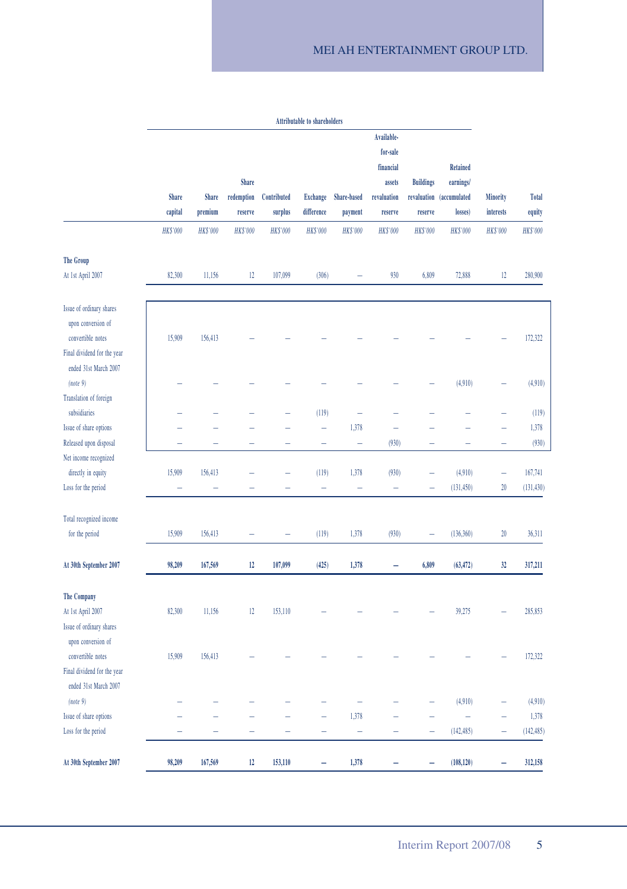### MEI AH ENTERTAINMENT GROUP LTD.

|                                                      |                 |                 |                 |                 | <b>Attributable to shareholders</b> |                 |                 |                  |                          |                 |                 |
|------------------------------------------------------|-----------------|-----------------|-----------------|-----------------|-------------------------------------|-----------------|-----------------|------------------|--------------------------|-----------------|-----------------|
|                                                      |                 |                 |                 |                 |                                     |                 | Available-      |                  |                          |                 |                 |
|                                                      |                 |                 |                 |                 |                                     |                 | for-sale        |                  |                          |                 |                 |
|                                                      |                 |                 |                 |                 |                                     |                 | financial       |                  | <b>Retained</b>          |                 |                 |
|                                                      |                 |                 | Share           |                 |                                     |                 | assets          | <b>Buildings</b> | earnings/                |                 |                 |
|                                                      | Share           | Share           | redemption      | Contributed     | <b>Exchange</b>                     | Share-based     | revaluation     |                  | revaluation (accumulated | Minority        | Total           |
|                                                      | capital         | premium         | reserve         | surplus         | difference                          | payment         | reserve         | reserve          | losses)                  | interests       | equity          |
|                                                      | <b>HK\$'000</b> | <b>HK\$'000</b> | <b>HK\$'000</b> | <b>HK\$'000</b> | <b>HK\$'000</b>                     | <b>HK\$'000</b> | <b>HK\$'000</b> | <b>HK\$'000</b>  | <b>HK\$'000</b>          | <b>HK\$'000</b> | <b>HK\$'000</b> |
| <b>The Group</b>                                     |                 |                 |                 |                 |                                     |                 |                 |                  |                          |                 |                 |
| At 1st April 2007                                    | 82,300          | 11,156          | 12              | 107,099         | (306)                               |                 | 930             | 6,809            | 72,888                   | 12              | 280,900         |
| Issue of ordinary shares                             |                 |                 |                 |                 |                                     |                 |                 |                  |                          |                 |                 |
| upon conversion of<br>convertible notes              | 15,909          | 156,413         |                 |                 |                                     |                 |                 |                  |                          |                 | 172,322         |
| Final dividend for the year<br>ended 31st March 2007 |                 |                 |                 |                 |                                     |                 |                 |                  |                          |                 |                 |
| (note 9)                                             |                 |                 |                 |                 |                                     |                 |                 |                  | (4,910)                  | 1               | (4,910)         |
| Translation of foreign<br>subsidiaries               |                 |                 |                 |                 | (119)                               | L,              |                 |                  |                          |                 | (119)           |
| Issue of share options                               |                 |                 |                 |                 | ÷                                   | 1,378           | ÷               |                  |                          | L.              | 1,378           |
| Released upon disposal                               |                 |                 |                 |                 |                                     |                 | (930)           |                  |                          |                 | (930)           |
| Net income recognized                                |                 |                 |                 |                 |                                     |                 |                 |                  |                          |                 |                 |
| directly in equity                                   | 15,909          | 156,413         |                 |                 | (119)                               | 1,378           | (930)           |                  | (4,910)                  | $\overline{a}$  | 167,741         |
| Loss for the period                                  |                 |                 |                 |                 | -                                   | ÷               | ÷               | ÷                | (131.450)                | 20              | (131, 430)      |
| Total recognized income                              |                 |                 |                 |                 |                                     |                 |                 |                  |                          |                 |                 |
| for the period                                       | 15,909          | 156,413         |                 |                 | (119)                               | 1,378           | (930)           |                  | (136, 360)               | 20              | 36,311          |
| At 30th September 2007                               | 98,209          | 167,569         | 12              | 107,099         | (425)                               | 1,378           |                 | 6,809            | (63, 472)                | 32              | 317,211         |
| The Company                                          |                 |                 |                 |                 |                                     |                 |                 |                  |                          |                 |                 |
| At 1st April 2007                                    | 82,300          | 11,156          | 12              | 153,110         |                                     |                 |                 |                  | 39,275                   |                 | 285,853         |
| Issue of ordinary shares<br>upon conversion of       |                 |                 |                 |                 |                                     |                 |                 |                  |                          |                 |                 |
| convertible notes                                    | 15,909          | 156,413         |                 |                 |                                     |                 |                 |                  |                          |                 | 172,322         |
| Final dividend for the year<br>ended 31st March 2007 |                 |                 |                 |                 |                                     |                 |                 |                  |                          |                 |                 |
| (note 9)                                             |                 |                 |                 |                 |                                     |                 |                 |                  | (4,910)                  | L.              | (4,910)         |
| Issue of share options                               |                 |                 |                 |                 |                                     | 1,378           |                 |                  |                          |                 | 1,378           |
| Loss for the period                                  |                 |                 |                 |                 |                                     |                 |                 |                  | (142, 485)               |                 | (142, 485)      |
| At 30th September 2007                               | 98,209          | 167,569         | 12              | 153,110         | ÷                                   | 1,378           |                 | ÷                | (108, 120)               | ÷               | 312,158         |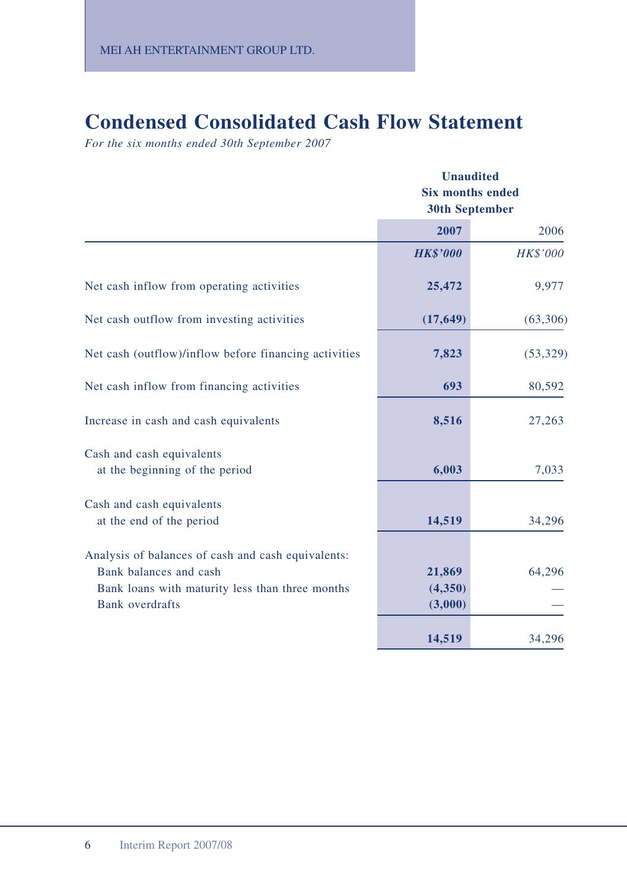# **Condensed Consolidated Cash Flow Statement**

*For the six months ended 30th September 2007*

|                                                                                                                                                           | <b>Unaudited</b><br><b>Six months ended</b><br><b>30th September</b> |           |  |
|-----------------------------------------------------------------------------------------------------------------------------------------------------------|----------------------------------------------------------------------|-----------|--|
|                                                                                                                                                           | 2007                                                                 | 2006      |  |
|                                                                                                                                                           | <b>HK\$'000</b>                                                      | HK\$'000  |  |
| Net cash inflow from operating activities                                                                                                                 | 25,472                                                               | 9,977     |  |
| Net cash outflow from investing activities                                                                                                                | (17, 649)                                                            | (63,306)  |  |
| Net cash (outflow)/inflow before financing activities                                                                                                     | 7,823                                                                | (53, 329) |  |
| Net cash inflow from financing activities                                                                                                                 | 693                                                                  | 80,592    |  |
| Increase in cash and cash equivalents                                                                                                                     | 8,516                                                                | 27,263    |  |
| Cash and cash equivalents<br>at the beginning of the period                                                                                               | 6,003                                                                | 7,033     |  |
| Cash and cash equivalents<br>at the end of the period                                                                                                     | 14,519                                                               | 34,296    |  |
| Analysis of balances of cash and cash equivalents:<br>Bank balances and cash<br>Bank loans with maturity less than three months<br><b>Bank</b> overdrafts | 21,869<br>(4,350)<br>(3,000)                                         | 64,296    |  |
|                                                                                                                                                           | 14,519                                                               | 34,296    |  |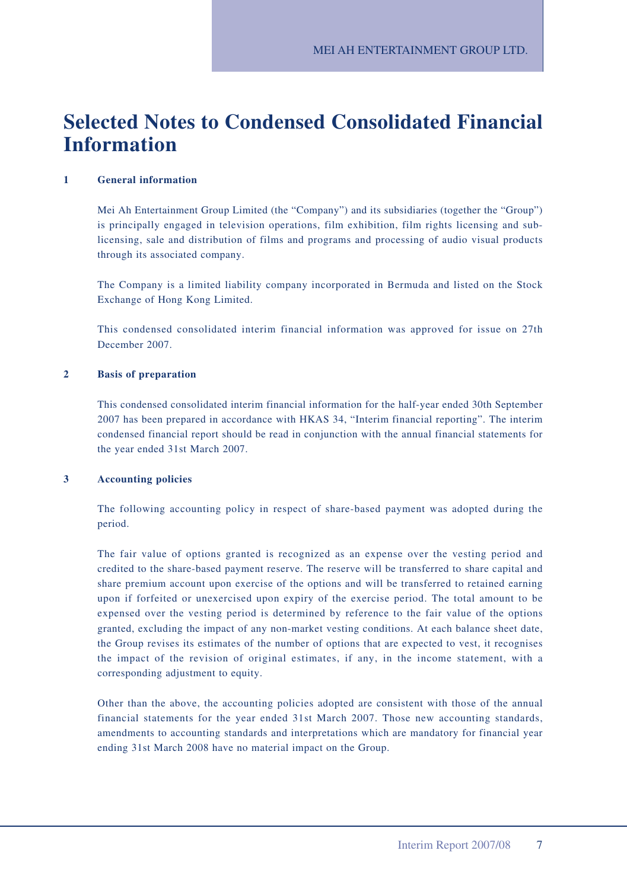# **Selected Notes to Condensed Consolidated Financial Information**

#### **1 General information**

Mei Ah Entertainment Group Limited (the "Company") and its subsidiaries (together the "Group") is principally engaged in television operations, film exhibition, film rights licensing and sublicensing, sale and distribution of films and programs and processing of audio visual products through its associated company.

The Company is a limited liability company incorporated in Bermuda and listed on the Stock Exchange of Hong Kong Limited.

This condensed consolidated interim financial information was approved for issue on 27th December 2007.

#### **2 Basis of preparation**

This condensed consolidated interim financial information for the half-year ended 30th September 2007 has been prepared in accordance with HKAS 34, "Interim financial reporting". The interim condensed financial report should be read in conjunction with the annual financial statements for the year ended 31st March 2007.

#### **3 Accounting policies**

The following accounting policy in respect of share-based payment was adopted during the period.

The fair value of options granted is recognized as an expense over the vesting period and credited to the share-based payment reserve. The reserve will be transferred to share capital and share premium account upon exercise of the options and will be transferred to retained earning upon if forfeited or unexercised upon expiry of the exercise period. The total amount to be expensed over the vesting period is determined by reference to the fair value of the options granted, excluding the impact of any non-market vesting conditions. At each balance sheet date, the Group revises its estimates of the number of options that are expected to vest, it recognises the impact of the revision of original estimates, if any, in the income statement, with a corresponding adjustment to equity.

Other than the above, the accounting policies adopted are consistent with those of the annual financial statements for the year ended 31st March 2007. Those new accounting standards, amendments to accounting standards and interpretations which are mandatory for financial year ending 31st March 2008 have no material impact on the Group.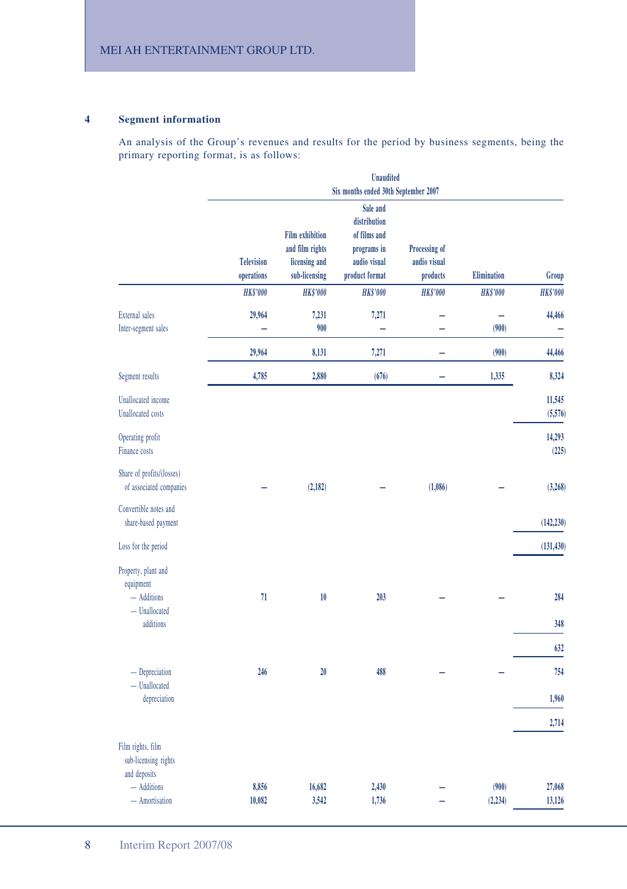#### **4 Segment information**

An analysis of the Group's revenues and results for the period by business segments, being the primary reporting format, is as follows:

|                                                           |                                 |                                                                             | <b>Unaudited</b><br>Six months ended 30th September 2007                                  |                                           |                   |                   |
|-----------------------------------------------------------|---------------------------------|-----------------------------------------------------------------------------|-------------------------------------------------------------------------------------------|-------------------------------------------|-------------------|-------------------|
|                                                           | <b>Television</b><br>operations | <b>Film exhibition</b><br>and film rights<br>licensing and<br>sub-licensing | Sale and<br>distribution<br>of films and<br>programs in<br>audio visual<br>product format | Processing of<br>audio visual<br>products | Elimination       | Group             |
|                                                           | <b>HK\$'000</b>                 | <b>HK\$'000</b>                                                             | <b>HK\$'000</b>                                                                           | <b>HK\$'000</b>                           | <b>HK\$'000</b>   | <b>HK\$'000</b>   |
| <b>External</b> sales<br>Inter-segment sales              | 29,964<br>÷                     | 7,231<br>900                                                                | 7,271<br>÷                                                                                | -                                         | (900)             | 44,466<br>Ξ       |
|                                                           | 29,964                          | 8,131                                                                       | 7,271                                                                                     |                                           | (900)             | 44,466            |
| Segment results                                           | 4,785                           | 2,880                                                                       | (676)                                                                                     |                                           | 1,335             | 8,324             |
| <b>Unallocated</b> income<br><b>Unallocated</b> costs     |                                 |                                                                             |                                                                                           |                                           |                   | 11,545<br>(5,576) |
| Operating profit<br>Finance costs                         |                                 |                                                                             |                                                                                           |                                           |                   | 14,293<br>(225)   |
| Share of profits/(losses)<br>of associated companies      |                                 | (2, 182)                                                                    |                                                                                           | (1,086)                                   |                   | (3, 268)          |
| Convertible notes and<br>share-based payment              |                                 |                                                                             |                                                                                           |                                           |                   | (142, 230)        |
| Loss for the period                                       |                                 |                                                                             |                                                                                           |                                           |                   | (131, 430)        |
| Property, plant and<br>equipment<br>$-$ Additions         | 71                              | 10                                                                          | 203                                                                                       |                                           |                   | 284               |
| $-$ Unallocated<br>additions                              |                                 |                                                                             |                                                                                           |                                           |                   | 348               |
|                                                           |                                 |                                                                             |                                                                                           |                                           |                   |                   |
|                                                           |                                 |                                                                             |                                                                                           |                                           |                   | 632               |
| $-$ Depreciation<br>- Unallocated                         | 246                             | 20                                                                          | 488                                                                                       |                                           |                   | 754               |
| depreciation                                              |                                 |                                                                             |                                                                                           |                                           |                   | 1,960             |
|                                                           |                                 |                                                                             |                                                                                           |                                           |                   | 2,714             |
| Film rights, film<br>sub-licensing rights<br>and deposits |                                 |                                                                             |                                                                                           |                                           |                   |                   |
| - Additions<br>- Amortisation                             | 8,856<br>10,082                 | 16,682<br>3,542                                                             | 2,430<br>1,736                                                                            |                                           | (900)<br>(2, 234) | 27,068<br>13,126  |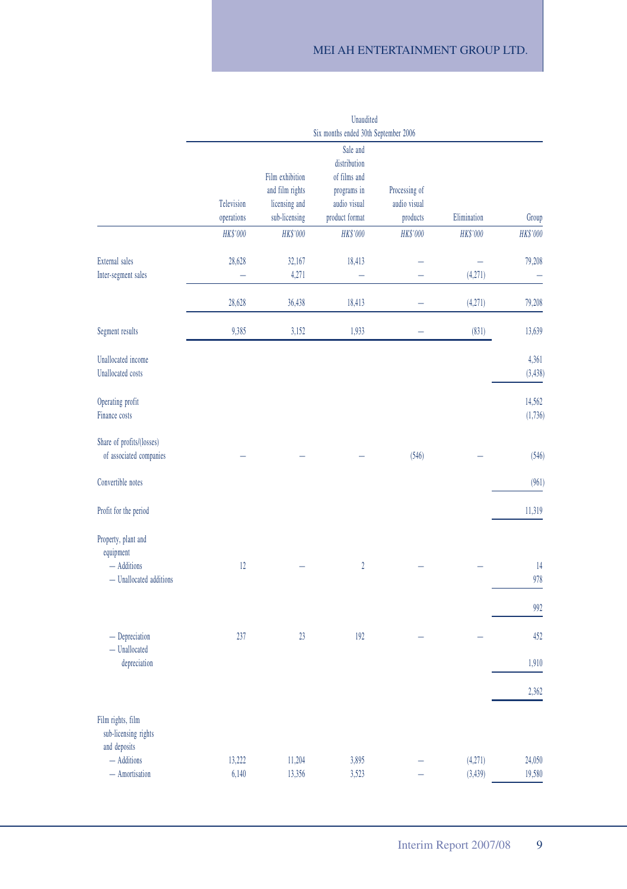### MEI AH ENTERTAINMENT GROUP LTD.

|                                                | <b>Unaudited</b>                     |                                |                                |                               |             |                   |  |  |
|------------------------------------------------|--------------------------------------|--------------------------------|--------------------------------|-------------------------------|-------------|-------------------|--|--|
|                                                | Six months ended 30th September 2006 |                                |                                |                               |             |                   |  |  |
|                                                |                                      |                                | Sale and<br>distribution       |                               |             |                   |  |  |
|                                                |                                      | Film exhibition                | of films and                   |                               |             |                   |  |  |
|                                                | Television                           | and film rights                | programs in                    | Processing of<br>audio visual |             |                   |  |  |
|                                                | operations                           | licensing and<br>sub-licensing | audio visual<br>product format | products                      | Elimination | Group             |  |  |
|                                                |                                      |                                |                                |                               |             |                   |  |  |
|                                                | HK\$'000                             | HK\$'000                       | HK\$'000                       | <b>HK\$'000</b>               | HK\$'000    | HK\$'000          |  |  |
| <b>External sales</b>                          | 28,628                               | 32,167                         | 18,413                         |                               | -           | 79,208            |  |  |
| Inter-segment sales                            |                                      | 4,271                          |                                |                               | (4,271)     |                   |  |  |
|                                                |                                      |                                |                                |                               |             |                   |  |  |
|                                                | 28,628                               | 36,438                         | 18,413                         |                               | (4,271)     | 79,208            |  |  |
| Segment results                                | 9,385                                | 3,152                          | 1,933                          |                               | (831)       | 13,639            |  |  |
|                                                |                                      |                                |                                |                               |             |                   |  |  |
| Unallocated income<br><b>Unallocated</b> costs |                                      |                                |                                |                               |             | 4,361<br>(3, 438) |  |  |
|                                                |                                      |                                |                                |                               |             |                   |  |  |
| Operating profit                               |                                      |                                |                                |                               |             | 14,562            |  |  |
| Finance costs                                  |                                      |                                |                                |                               |             | (1,736)           |  |  |
|                                                |                                      |                                |                                |                               |             |                   |  |  |
| Share of profits/(losses)                      |                                      |                                |                                |                               |             |                   |  |  |
| of associated companies                        |                                      |                                |                                | (546)                         |             | (546)             |  |  |
|                                                |                                      |                                |                                |                               |             |                   |  |  |
| Convertible notes                              |                                      |                                |                                |                               |             | (961)             |  |  |
| Profit for the period                          |                                      |                                |                                |                               |             | 11,319            |  |  |
|                                                |                                      |                                |                                |                               |             |                   |  |  |
| Property, plant and                            |                                      |                                |                                |                               |             |                   |  |  |
| equipment                                      |                                      |                                |                                |                               |             |                   |  |  |
| - Additions                                    | 12                                   |                                | $\boldsymbol{2}$               |                               |             | 14                |  |  |
| - Unallocated additions                        |                                      |                                |                                |                               |             | 978               |  |  |
|                                                |                                      |                                |                                |                               |             |                   |  |  |
|                                                |                                      |                                |                                |                               |             | 992               |  |  |
| $-$ Depreciation                               | 237                                  | 23                             | 192                            |                               |             | 452               |  |  |
| - Unallocated                                  |                                      |                                |                                |                               |             |                   |  |  |
| depreciation                                   |                                      |                                |                                |                               |             | 1,910             |  |  |
|                                                |                                      |                                |                                |                               |             |                   |  |  |
|                                                |                                      |                                |                                |                               |             | 2,362             |  |  |
| Film rights, film                              |                                      |                                |                                |                               |             |                   |  |  |
| sub-licensing rights                           |                                      |                                |                                |                               |             |                   |  |  |
| and deposits                                   |                                      |                                |                                |                               |             |                   |  |  |
| $-$ Additions                                  | 13,222                               | 11,204                         | 3,895                          |                               | (4,271)     | 24,050            |  |  |
| - Amortisation                                 | 6,140                                | 13,356                         | 3,523                          |                               | (3, 439)    | 19,580            |  |  |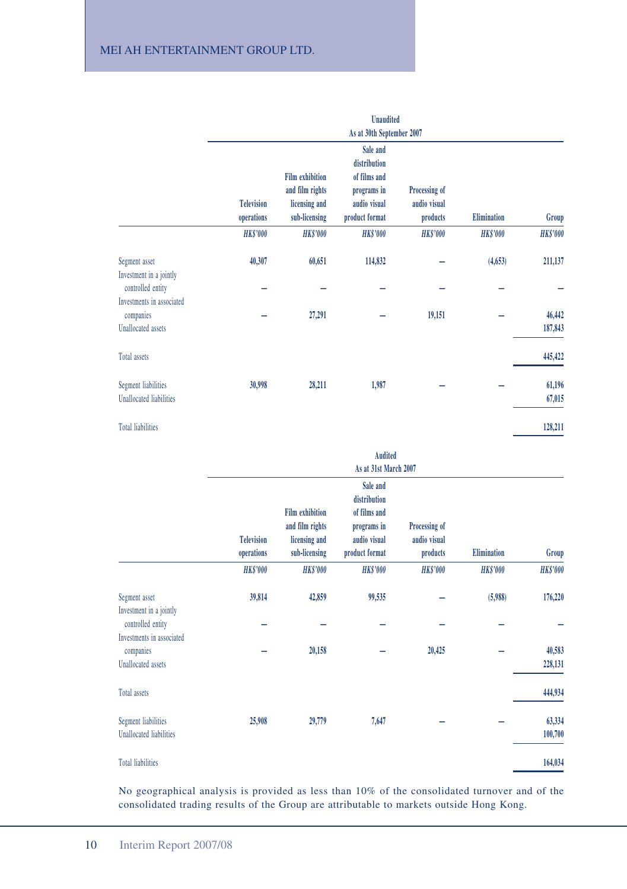|                                                              | <b>Unaudited</b>                |                                                                             |                                                                                           |                                           |                    |                   |  |  |
|--------------------------------------------------------------|---------------------------------|-----------------------------------------------------------------------------|-------------------------------------------------------------------------------------------|-------------------------------------------|--------------------|-------------------|--|--|
|                                                              | As at 30th September 2007       |                                                                             |                                                                                           |                                           |                    |                   |  |  |
|                                                              | <b>Television</b><br>operations | <b>Film exhibition</b><br>and film rights<br>licensing and<br>sub-licensing | Sale and<br>distribution<br>of films and<br>programs in<br>audio visual<br>product format | Processing of<br>audio visual<br>products | <b>Elimination</b> | Group             |  |  |
|                                                              | <b>HK\$'000</b>                 | <b>HK\$'000</b>                                                             | <b>HK\$'000</b>                                                                           | <b>HK\$'000</b>                           | <b>HK\$'000</b>    | <b>HK\$'000</b>   |  |  |
| Segment asset<br>Investment in a jointly                     | 40,307                          | 60,651                                                                      | 114,832                                                                                   |                                           | (4, 653)           | 211,137           |  |  |
| controlled entity<br>Investments in associated               |                                 |                                                                             |                                                                                           |                                           |                    |                   |  |  |
| companies<br><b>Unallocated</b> assets                       |                                 | 27,291                                                                      |                                                                                           | 19,151                                    |                    | 46,442<br>187,843 |  |  |
| Total assets                                                 |                                 |                                                                             |                                                                                           |                                           |                    | 445,422           |  |  |
| <b>Segment liabilities</b><br><b>Unallocated liabilities</b> | 30,998                          | 28,211                                                                      | 1,987                                                                                     |                                           |                    | 61,196<br>67,015  |  |  |
| <b>Total liabilities</b>                                     |                                 |                                                                             |                                                                                           |                                           |                    | 128,211           |  |  |

|                                                              | <b>Audited</b>                  |                                                                             |                                                                                           |                                           |                 |                   |  |  |
|--------------------------------------------------------------|---------------------------------|-----------------------------------------------------------------------------|-------------------------------------------------------------------------------------------|-------------------------------------------|-----------------|-------------------|--|--|
|                                                              | As at 31st March 2007           |                                                                             |                                                                                           |                                           |                 |                   |  |  |
|                                                              | <b>Television</b><br>operations | <b>Film exhibition</b><br>and film rights<br>licensing and<br>sub-licensing | Sale and<br>distribution<br>of films and<br>programs in<br>audio visual<br>product format | Processing of<br>audio visual<br>products | Elimination     | Group             |  |  |
|                                                              | <b>HK\$'000</b>                 | <b>HK\$'000</b>                                                             | <b>HK\$'000</b>                                                                           | <b>HK\$'000</b>                           | <b>HK\$'000</b> | <b>HK\$'000</b>   |  |  |
| Segment asset<br>Investment in a jointly                     | 39,814                          | 42,859                                                                      | 99,535                                                                                    |                                           | (5,988)         | 176,220           |  |  |
| controlled entity<br>Investments in associated               |                                 |                                                                             |                                                                                           |                                           |                 |                   |  |  |
| companies<br><b>Unallocated</b> assets                       |                                 | 20,158                                                                      |                                                                                           | 20,425                                    |                 | 40,583<br>228,131 |  |  |
| Total assets                                                 |                                 |                                                                             |                                                                                           |                                           |                 | 444,934           |  |  |
| <b>Segment liabilities</b><br><b>Unallocated liabilities</b> | 25,908                          | 29,779                                                                      | 7,647                                                                                     |                                           |                 | 63,334<br>100,700 |  |  |
| <b>Total liabilities</b>                                     |                                 |                                                                             |                                                                                           |                                           |                 | 164,034           |  |  |

No geographical analysis is provided as less than 10% of the consolidated turnover and of the consolidated trading results of the Group are attributable to markets outside Hong Kong.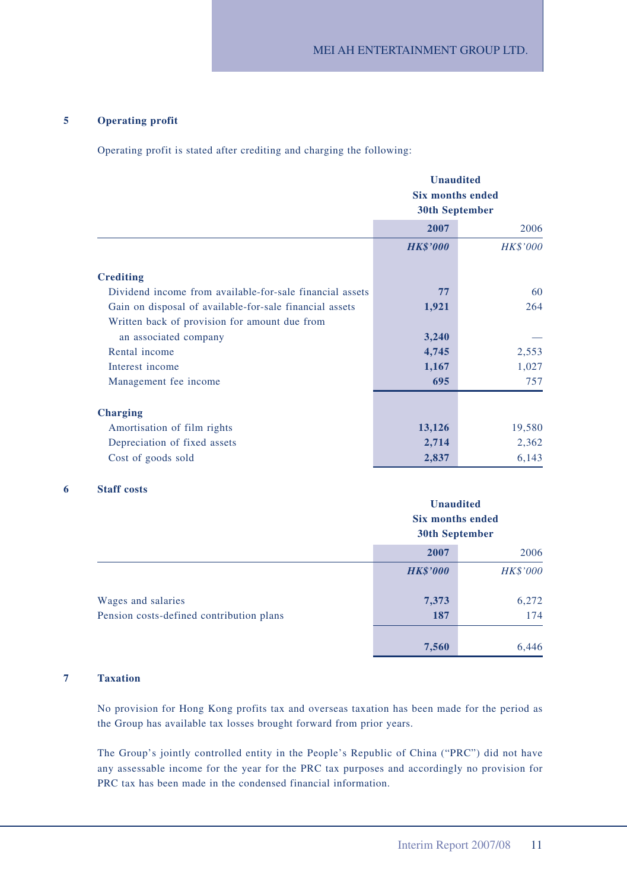#### **5 Operating profit**

Operating profit is stated after crediting and charging the following:

|                                                          | <b>Unaudited</b><br><b>Six months ended</b><br><b>30th September</b> |                 |  |
|----------------------------------------------------------|----------------------------------------------------------------------|-----------------|--|
|                                                          | 2007                                                                 | 2006            |  |
|                                                          | <b>HK\$'000</b>                                                      | <b>HK\$'000</b> |  |
| <b>Crediting</b>                                         |                                                                      |                 |  |
| Dividend income from available-for-sale financial assets | 77                                                                   | 60              |  |
| Gain on disposal of available-for-sale financial assets  | 1,921                                                                | 264             |  |
| Written back of provision for amount due from            |                                                                      |                 |  |
| an associated company                                    | 3,240                                                                |                 |  |
| Rental income                                            | 4,745                                                                | 2,553           |  |
| Interest income                                          | 1,167                                                                | 1,027           |  |
| Management fee income                                    | 695                                                                  | 757             |  |
| <b>Charging</b>                                          |                                                                      |                 |  |
| Amortisation of film rights                              | 13,126                                                               | 19,580          |  |
| Depreciation of fixed assets                             | 2,714                                                                | 2,362           |  |
| Cost of goods sold                                       | 2,837                                                                | 6,143           |  |

#### **6 Staff costs**

|                                          |                 | <b>Unaudited</b><br><b>Six months ended</b><br><b>30th September</b> |  |  |
|------------------------------------------|-----------------|----------------------------------------------------------------------|--|--|
|                                          | 2007            | 2006                                                                 |  |  |
|                                          | <b>HK\$'000</b> | <b>HK\$'000</b>                                                      |  |  |
| Wages and salaries                       | 7,373           | 6,272                                                                |  |  |
| Pension costs-defined contribution plans | 187             | 174                                                                  |  |  |
|                                          | 7,560           | 6,446                                                                |  |  |

#### **7 Taxation**

No provision for Hong Kong profits tax and overseas taxation has been made for the period as the Group has available tax losses brought forward from prior years.

The Group's jointly controlled entity in the People's Republic of China ("PRC") did not have any assessable income for the year for the PRC tax purposes and accordingly no provision for PRC tax has been made in the condensed financial information.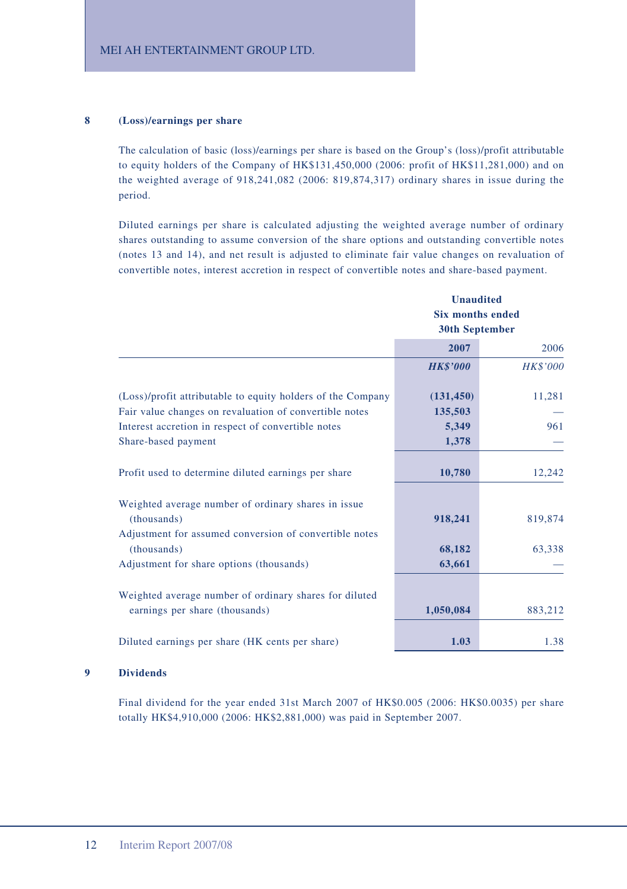#### **8 (Loss)/earnings per share**

The calculation of basic (loss)/earnings per share is based on the Group's (loss)/profit attributable to equity holders of the Company of HK\$131,450,000 (2006: profit of HK\$11,281,000) and on the weighted average of 918,241,082 (2006: 819,874,317) ordinary shares in issue during the period.

Diluted earnings per share is calculated adjusting the weighted average number of ordinary shares outstanding to assume conversion of the share options and outstanding convertible notes (notes 13 and 14), and net result is adjusted to eliminate fair value changes on revaluation of convertible notes, interest accretion in respect of convertible notes and share-based payment.

|                                                                                          | <b>Unaudited</b><br><b>Six months ended</b> |                 |  |
|------------------------------------------------------------------------------------------|---------------------------------------------|-----------------|--|
|                                                                                          |                                             |                 |  |
|                                                                                          | <b>30th September</b>                       |                 |  |
|                                                                                          | 2007                                        | 2006            |  |
|                                                                                          | <b>HK\$'000</b>                             | <b>HK\$'000</b> |  |
| (Loss)/profit attributable to equity holders of the Company                              | (131, 450)                                  | 11,281          |  |
| Fair value changes on revaluation of convertible notes                                   | 135,503                                     |                 |  |
| Interest accretion in respect of convertible notes                                       | 5,349                                       | 961             |  |
| Share-based payment                                                                      | 1,378                                       |                 |  |
| Profit used to determine diluted earnings per share                                      | 10,780                                      | 12,242          |  |
| Weighted average number of ordinary shares in issue<br>(thousands)                       | 918,241                                     | 819,874         |  |
| Adjustment for assumed conversion of convertible notes                                   |                                             |                 |  |
| (thousands)                                                                              | 68,182                                      | 63,338          |  |
| Adjustment for share options (thousands)                                                 | 63,661                                      |                 |  |
| Weighted average number of ordinary shares for diluted<br>earnings per share (thousands) | 1,050,084                                   | 883,212         |  |
|                                                                                          |                                             |                 |  |
| Diluted earnings per share (HK cents per share)                                          | 1.03                                        | 1.38            |  |

#### **9 Dividends**

Final dividend for the year ended 31st March 2007 of HK\$0.005 (2006: HK\$0.0035) per share totally HK\$4,910,000 (2006: HK\$2,881,000) was paid in September 2007.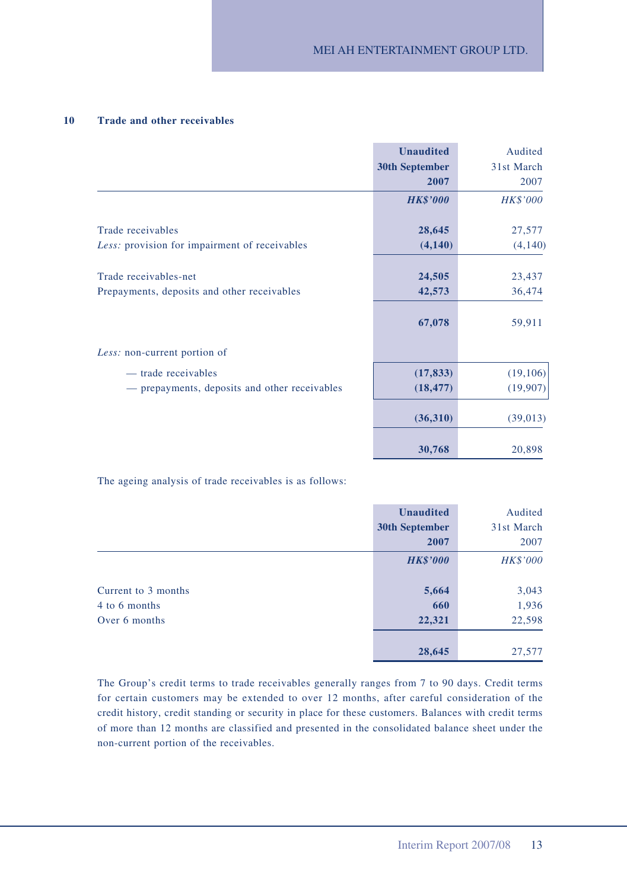#### **10 Trade and other receivables**

|                                               | <b>Unaudited</b>      | Audited         |
|-----------------------------------------------|-----------------------|-----------------|
|                                               | <b>30th September</b> | 31st March      |
|                                               | 2007                  | 2007            |
|                                               | <b>HK\$'000</b>       | <b>HK\$'000</b> |
| Trade receivables                             | 28,645                | 27,577          |
| Less: provision for impairment of receivables | (4,140)               | (4,140)         |
|                                               |                       |                 |
| Trade receivables-net                         | 24,505                | 23,437          |
| Prepayments, deposits and other receivables   | 42,573                | 36,474          |
|                                               | 67,078                | 59,911          |
| Less: non-current portion of                  |                       |                 |
| — trade receivables                           | (17, 833)             | (19, 106)       |
| - prepayments, deposits and other receivables | (18, 477)             | (19,907)        |
|                                               | (36,310)              | (39,013)        |
|                                               | 30,768                | 20,898          |

The ageing analysis of trade receivables is as follows:

|                     | <b>Unaudited</b>      | Audited         |
|---------------------|-----------------------|-----------------|
|                     | <b>30th September</b> | 31st March      |
|                     | 2007                  | 2007            |
|                     | <b>HK\$'000</b>       | <b>HK\$'000</b> |
| Current to 3 months | 5,664                 | 3,043           |
| 4 to 6 months       | 660                   | 1,936           |
| Over 6 months       | 22,321                | 22,598          |
|                     | 28,645                | 27,577          |

The Group's credit terms to trade receivables generally ranges from 7 to 90 days. Credit terms for certain customers may be extended to over 12 months, after careful consideration of the credit history, credit standing or security in place for these customers. Balances with credit terms of more than 12 months are classified and presented in the consolidated balance sheet under the non-current portion of the receivables.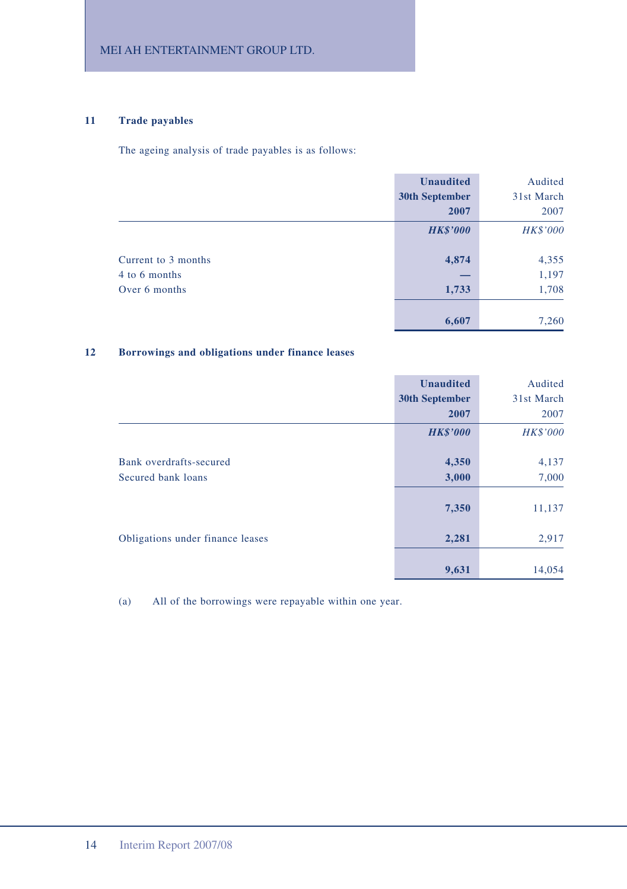### **11 Trade payables**

The ageing analysis of trade payables is as follows:

|                     | <b>Unaudited</b> | Audited         |
|---------------------|------------------|-----------------|
|                     | 30th September   | 31st March      |
|                     | 2007             | 2007            |
|                     | <b>HK\$'000</b>  | <b>HK\$'000</b> |
| Current to 3 months | 4,874            | 4,355           |
| 4 to 6 months       |                  | 1,197           |
| Over 6 months       | 1,733            | 1,708           |
|                     | 6,607            | 7,260           |

#### **12 Borrowings and obligations under finance leases**

|                                               | <b>Unaudited</b><br><b>30th September</b><br>2007 | Audited<br>31st March<br>2007 |
|-----------------------------------------------|---------------------------------------------------|-------------------------------|
|                                               | <b>HK\$'000</b>                                   | <b>HK\$'000</b>               |
| Bank overdrafts-secured<br>Secured bank loans | 4,350<br>3,000                                    | 4,137<br>7,000                |
|                                               | 7,350                                             | 11,137                        |
| Obligations under finance leases              | 2,281                                             | 2,917                         |
|                                               | 9,631                                             | 14,054                        |

(a) All of the borrowings were repayable within one year.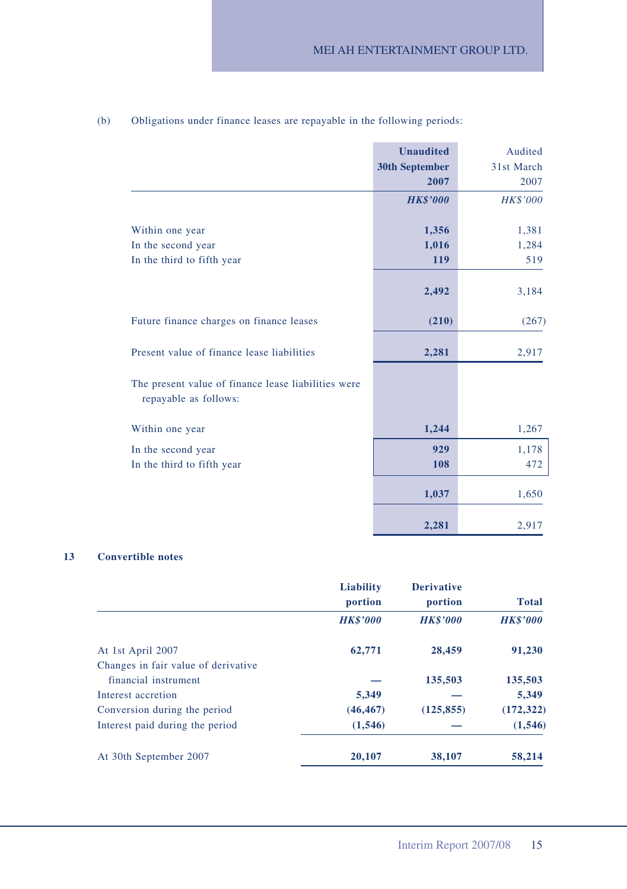|                                                                              | <b>Unaudited</b><br><b>30th September</b><br>2007 | Audited<br>31st March<br>2007 |
|------------------------------------------------------------------------------|---------------------------------------------------|-------------------------------|
|                                                                              | <b>HK\$'000</b>                                   | <b>HK\$'000</b>               |
| Within one year                                                              | 1,356                                             | 1,381                         |
| In the second year                                                           | 1,016                                             | 1,284                         |
| In the third to fifth year                                                   | 119                                               | 519                           |
|                                                                              | 2,492                                             | 3,184                         |
| Future finance charges on finance leases                                     | (210)                                             | (267)                         |
| Present value of finance lease liabilities                                   | 2,281                                             | 2,917                         |
| The present value of finance lease liabilities were<br>repayable as follows: |                                                   |                               |
| Within one year                                                              | 1,244                                             | 1,267                         |
| In the second year                                                           | 929                                               | 1,178                         |
| In the third to fifth year                                                   | 108                                               | 472                           |
|                                                                              | 1,037                                             | 1,650                         |
|                                                                              | 2,281                                             | 2,917                         |

### (b) Obligations under finance leases are repayable in the following periods:

#### **13 Convertible notes**

|                                     | Liability<br>portion | <b>Derivative</b><br>portion | <b>Total</b>    |
|-------------------------------------|----------------------|------------------------------|-----------------|
|                                     | <b>HK\$'000</b>      | <b>HK\$'000</b>              | <b>HK\$'000</b> |
| At 1st April 2007                   | 62,771               | 28,459                       | 91,230          |
| Changes in fair value of derivative |                      |                              |                 |
| financial instrument                |                      | 135,503                      | 135,503         |
| Interest accretion                  | 5.349                |                              | 5.349           |
| Conversion during the period        | (46, 467)            | (125, 855)                   | (172, 322)      |
| Interest paid during the period     | (1, 546)             |                              | (1, 546)        |
| At 30th September 2007              | 20,107               | 38,107                       | 58,214          |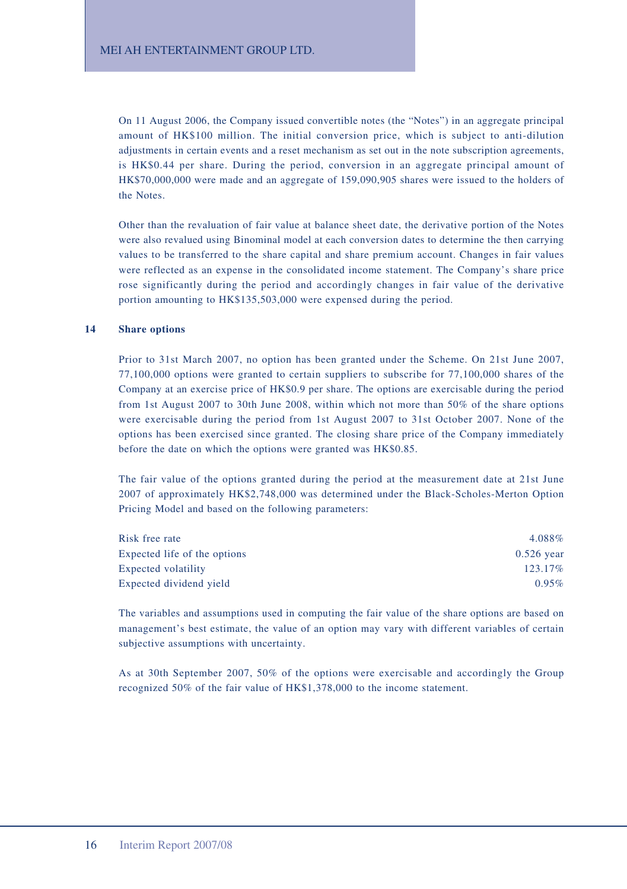On 11 August 2006, the Company issued convertible notes (the "Notes") in an aggregate principal amount of HK\$100 million. The initial conversion price, which is subject to anti-dilution adjustments in certain events and a reset mechanism as set out in the note subscription agreements, is HK\$0.44 per share. During the period, conversion in an aggregate principal amount of HK\$70,000,000 were made and an aggregate of 159,090,905 shares were issued to the holders of the Notes.

Other than the revaluation of fair value at balance sheet date, the derivative portion of the Notes were also revalued using Binominal model at each conversion dates to determine the then carrying values to be transferred to the share capital and share premium account. Changes in fair values were reflected as an expense in the consolidated income statement. The Company's share price rose significantly during the period and accordingly changes in fair value of the derivative portion amounting to HK\$135,503,000 were expensed during the period.

#### **14 Share options**

Prior to 31st March 2007, no option has been granted under the Scheme. On 21st June 2007, 77,100,000 options were granted to certain suppliers to subscribe for 77,100,000 shares of the Company at an exercise price of HK\$0.9 per share. The options are exercisable during the period from 1st August 2007 to 30th June 2008, within which not more than 50% of the share options were exercisable during the period from 1st August 2007 to 31st October 2007. None of the options has been exercised since granted. The closing share price of the Company immediately before the date on which the options were granted was HK\$0.85.

The fair value of the options granted during the period at the measurement date at 21st June 2007 of approximately HK\$2,748,000 was determined under the Black-Scholes-Merton Option Pricing Model and based on the following parameters:

| Risk free rate               | 4.088%       |
|------------------------------|--------------|
| Expected life of the options | $0.526$ vear |
| <b>Expected volatility</b>   | 123.17%      |
| Expected dividend yield      | 0.95%        |

The variables and assumptions used in computing the fair value of the share options are based on management's best estimate, the value of an option may vary with different variables of certain subjective assumptions with uncertainty.

As at 30th September 2007, 50% of the options were exercisable and accordingly the Group recognized 50% of the fair value of HK\$1,378,000 to the income statement.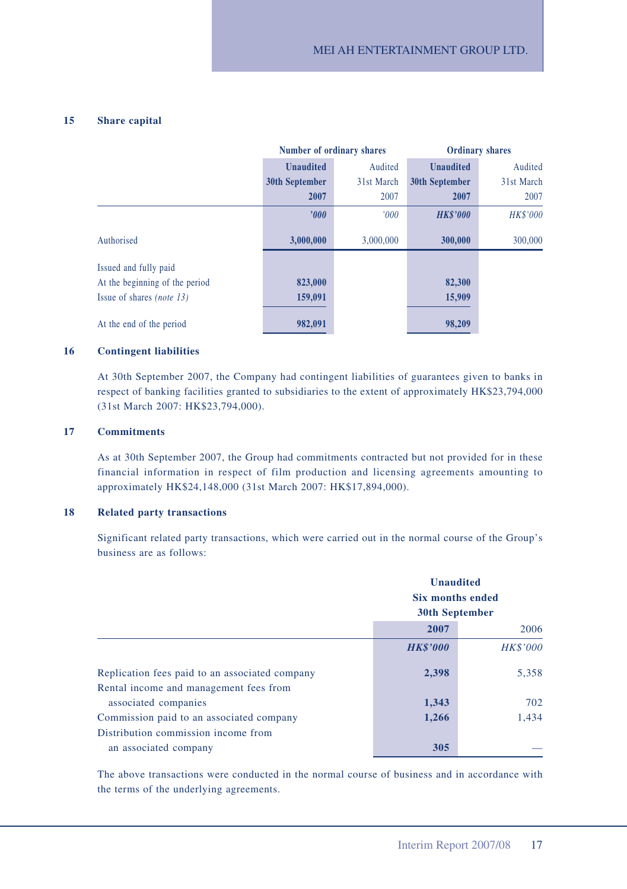#### **15 Share capital**

|                                  | Number of ordinary shares |            | <b>Ordinary shares</b> |                 |
|----------------------------------|---------------------------|------------|------------------------|-----------------|
|                                  | <b>Unaudited</b>          | Audited    | <b>Unaudited</b>       | Audited         |
|                                  | 30th September            | 31st March | <b>30th September</b>  | 31st March      |
|                                  | 2007                      | 2007       | 2007                   | 2007            |
|                                  | '000'                     | 000'       | <b>HK\$'000</b>        | <b>HK\$'000</b> |
| Authorised                       | 3,000,000                 | 3,000,000  | 300,000                | 300,000         |
| Issued and fully paid            |                           |            |                        |                 |
| At the beginning of the period   | 823,000                   |            | 82,300                 |                 |
| Issue of shares <i>(note 13)</i> | 159,091                   |            | 15,909                 |                 |
| At the end of the period         | 982,091                   |            | 98.209                 |                 |

#### **16 Contingent liabilities**

At 30th September 2007, the Company had contingent liabilities of guarantees given to banks in respect of banking facilities granted to subsidiaries to the extent of approximately HK\$23,794,000 (31st March 2007: HK\$23,794,000).

#### **17 Commitments**

As at 30th September 2007, the Group had commitments contracted but not provided for in these financial information in respect of film production and licensing agreements amounting to approximately HK\$24,148,000 (31st March 2007: HK\$17,894,000).

#### **18 Related party transactions**

Significant related party transactions, which were carried out in the normal course of the Group's business are as follows:

|                                                | <b>Unaudited</b><br><b>Six months ended</b><br><b>30th September</b> |                 |
|------------------------------------------------|----------------------------------------------------------------------|-----------------|
|                                                | 2007<br>2006                                                         |                 |
|                                                | <b>HK\$'000</b>                                                      | <b>HK\$'000</b> |
| Replication fees paid to an associated company | 2,398                                                                | 5,358           |
| Rental income and management fees from         |                                                                      |                 |
| associated companies                           | 1,343                                                                | 702             |
| Commission paid to an associated company       | 1,266                                                                | 1.434           |
| Distribution commission income from            |                                                                      |                 |
| an associated company                          | 305                                                                  |                 |

The above transactions were conducted in the normal course of business and in accordance with the terms of the underlying agreements.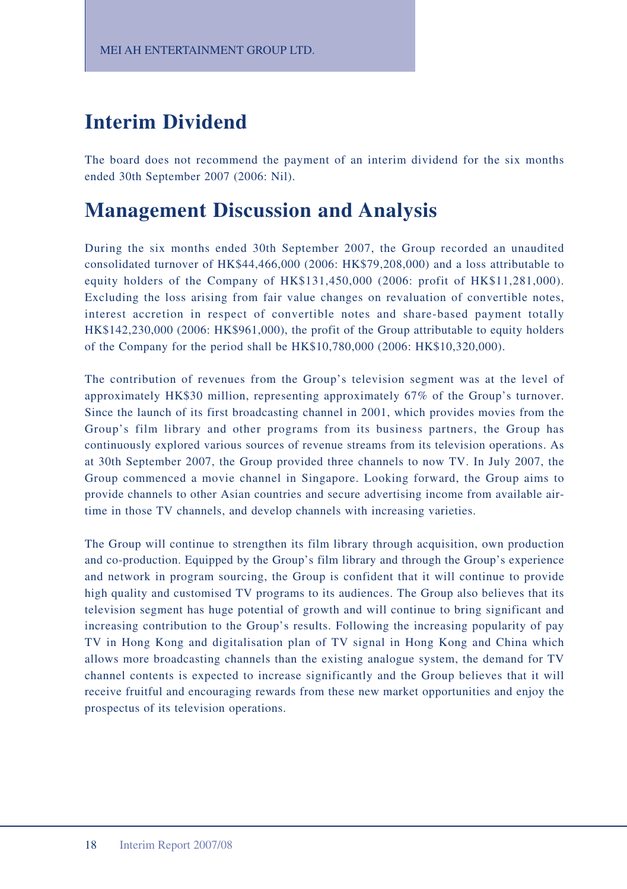# **Interim Dividend**

The board does not recommend the payment of an interim dividend for the six months ended 30th September 2007 (2006: Nil).

## **Management Discussion and Analysis**

During the six months ended 30th September 2007, the Group recorded an unaudited consolidated turnover of HK\$44,466,000 (2006: HK\$79,208,000) and a loss attributable to equity holders of the Company of HK\$131,450,000 (2006: profit of HK\$11,281,000). Excluding the loss arising from fair value changes on revaluation of convertible notes, interest accretion in respect of convertible notes and share-based payment totally HK\$142,230,000 (2006: HK\$961,000), the profit of the Group attributable to equity holders of the Company for the period shall be HK\$10,780,000 (2006: HK\$10,320,000).

The contribution of revenues from the Group's television segment was at the level of approximately HK\$30 million, representing approximately 67% of the Group's turnover. Since the launch of its first broadcasting channel in 2001, which provides movies from the Group's film library and other programs from its business partners, the Group has continuously explored various sources of revenue streams from its television operations. As at 30th September 2007, the Group provided three channels to now TV. In July 2007, the Group commenced a movie channel in Singapore. Looking forward, the Group aims to provide channels to other Asian countries and secure advertising income from available airtime in those TV channels, and develop channels with increasing varieties.

The Group will continue to strengthen its film library through acquisition, own production and co-production. Equipped by the Group's film library and through the Group's experience and network in program sourcing, the Group is confident that it will continue to provide high quality and customised TV programs to its audiences. The Group also believes that its television segment has huge potential of growth and will continue to bring significant and increasing contribution to the Group's results. Following the increasing popularity of pay TV in Hong Kong and digitalisation plan of TV signal in Hong Kong and China which allows more broadcasting channels than the existing analogue system, the demand for TV channel contents is expected to increase significantly and the Group believes that it will receive fruitful and encouraging rewards from these new market opportunities and enjoy the prospectus of its television operations.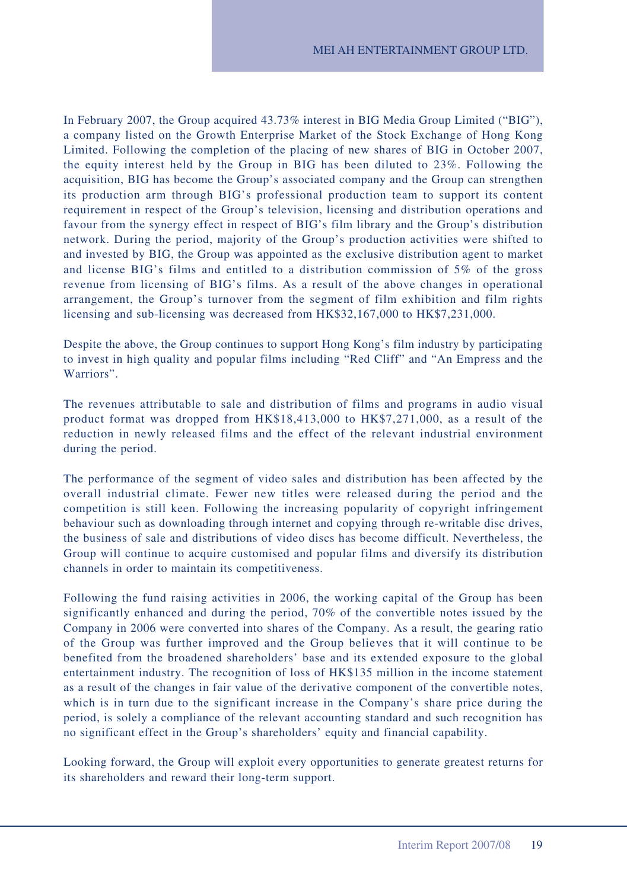In February 2007, the Group acquired 43.73% interest in BIG Media Group Limited ("BIG"), a company listed on the Growth Enterprise Market of the Stock Exchange of Hong Kong Limited. Following the completion of the placing of new shares of BIG in October 2007, the equity interest held by the Group in BIG has been diluted to 23%. Following the acquisition, BIG has become the Group's associated company and the Group can strengthen its production arm through BIG's professional production team to support its content requirement in respect of the Group's television, licensing and distribution operations and favour from the synergy effect in respect of BIG's film library and the Group's distribution network. During the period, majority of the Group's production activities were shifted to and invested by BIG, the Group was appointed as the exclusive distribution agent to market and license BIG's films and entitled to a distribution commission of 5% of the gross revenue from licensing of BIG's films. As a result of the above changes in operational arrangement, the Group's turnover from the segment of film exhibition and film rights licensing and sub-licensing was decreased from HK\$32,167,000 to HK\$7,231,000.

Despite the above, the Group continues to support Hong Kong's film industry by participating to invest in high quality and popular films including "Red Cliff" and "An Empress and the Warriors".

The revenues attributable to sale and distribution of films and programs in audio visual product format was dropped from HK\$18,413,000 to HK\$7,271,000, as a result of the reduction in newly released films and the effect of the relevant industrial environment during the period.

The performance of the segment of video sales and distribution has been affected by the overall industrial climate. Fewer new titles were released during the period and the competition is still keen. Following the increasing popularity of copyright infringement behaviour such as downloading through internet and copying through re-writable disc drives, the business of sale and distributions of video discs has become difficult. Nevertheless, the Group will continue to acquire customised and popular films and diversify its distribution channels in order to maintain its competitiveness.

Following the fund raising activities in 2006, the working capital of the Group has been significantly enhanced and during the period, 70% of the convertible notes issued by the Company in 2006 were converted into shares of the Company. As a result, the gearing ratio of the Group was further improved and the Group believes that it will continue to be benefited from the broadened shareholders' base and its extended exposure to the global entertainment industry. The recognition of loss of HK\$135 million in the income statement as a result of the changes in fair value of the derivative component of the convertible notes, which is in turn due to the significant increase in the Company's share price during the period, is solely a compliance of the relevant accounting standard and such recognition has no significant effect in the Group's shareholders' equity and financial capability.

Looking forward, the Group will exploit every opportunities to generate greatest returns for its shareholders and reward their long-term support.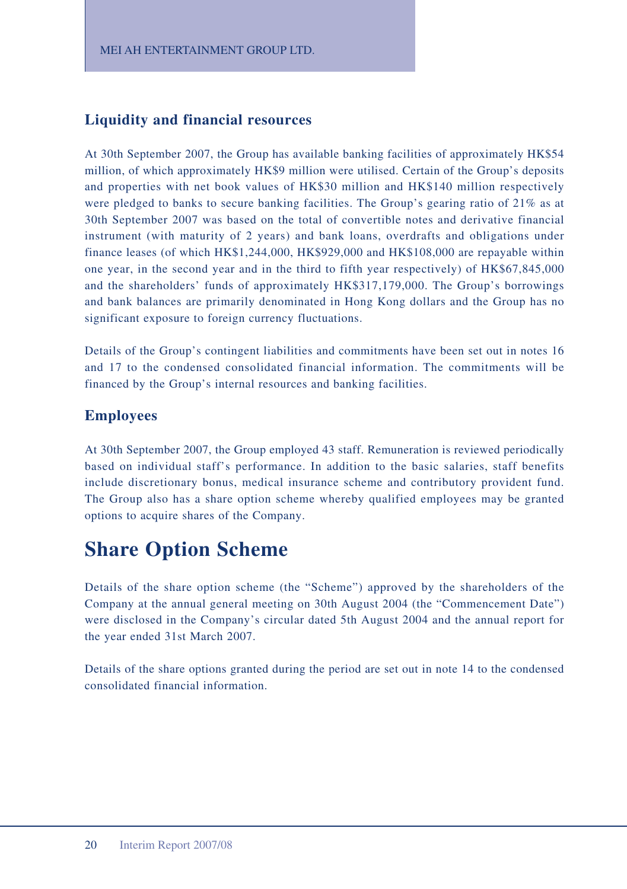### **Liquidity and financial resources**

At 30th September 2007, the Group has available banking facilities of approximately HK\$54 million, of which approximately HK\$9 million were utilised. Certain of the Group's deposits and properties with net book values of HK\$30 million and HK\$140 million respectively were pledged to banks to secure banking facilities. The Group's gearing ratio of 21% as at 30th September 2007 was based on the total of convertible notes and derivative financial instrument (with maturity of 2 years) and bank loans, overdrafts and obligations under finance leases (of which HK\$1,244,000, HK\$929,000 and HK\$108,000 are repayable within one year, in the second year and in the third to fifth year respectively) of HK\$67,845,000 and the shareholders' funds of approximately HK\$317,179,000. The Group's borrowings and bank balances are primarily denominated in Hong Kong dollars and the Group has no significant exposure to foreign currency fluctuations.

Details of the Group's contingent liabilities and commitments have been set out in notes 16 and 17 to the condensed consolidated financial information. The commitments will be financed by the Group's internal resources and banking facilities.

### **Employees**

At 30th September 2007, the Group employed 43 staff. Remuneration is reviewed periodically based on individual staff's performance. In addition to the basic salaries, staff benefits include discretionary bonus, medical insurance scheme and contributory provident fund. The Group also has a share option scheme whereby qualified employees may be granted options to acquire shares of the Company.

# **Share Option Scheme**

Details of the share option scheme (the "Scheme") approved by the shareholders of the Company at the annual general meeting on 30th August 2004 (the "Commencement Date") were disclosed in the Company's circular dated 5th August 2004 and the annual report for the year ended 31st March 2007.

Details of the share options granted during the period are set out in note 14 to the condensed consolidated financial information.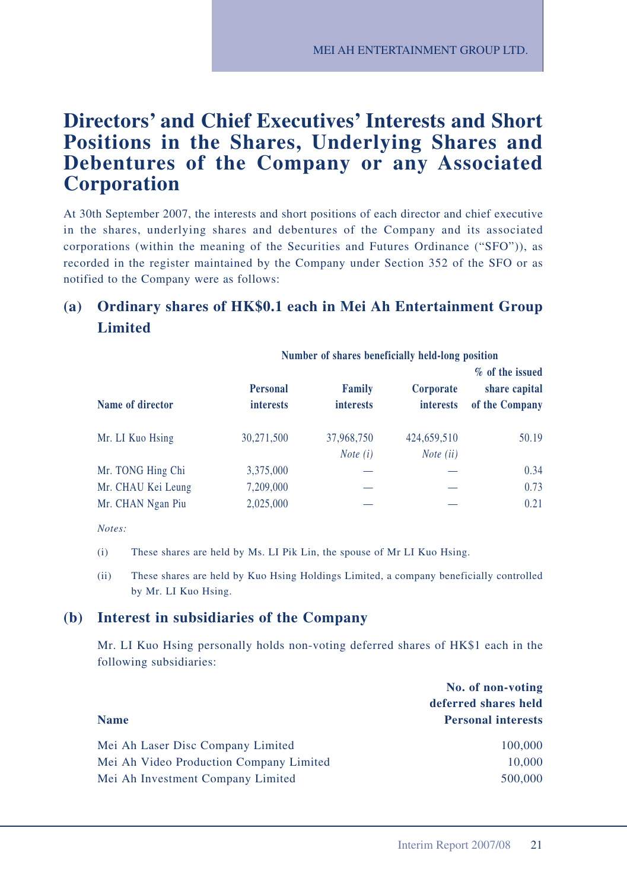## **Directors' and Chief Executives' Interests and Short Positions in the Shares, Underlying Shares and Debentures of the Company or any Associated Corporation**

At 30th September 2007, the interests and short positions of each director and chief executive in the shares, underlying shares and debentures of the Company and its associated corporations (within the meaning of the Securities and Futures Ordinance ("SFO")), as recorded in the register maintained by the Company under Section 352 of the SFO or as notified to the Company were as follows:

## **(a) Ordinary shares of HK\$0.1 each in Mei Ah Entertainment Group Limited**

|                    | THERESAND A DESIGN OF MUSIC SERVICES IN THE PURSE OF THE PROPERTY |                                   |                               |                                                    |
|--------------------|-------------------------------------------------------------------|-----------------------------------|-------------------------------|----------------------------------------------------|
| Name of director   | <b>Personal</b><br><i>interests</i>                               | <b>Family</b><br><i>interests</i> | Corporate<br><i>interests</i> | % of the issued<br>share capital<br>of the Company |
| Mr. LI Kuo Hsing   | 30,271,500                                                        | 37,968,750                        | 424,659,510                   | 50.19                                              |
|                    |                                                                   | <i>Note</i> $(i)$                 | <i>Note</i> $(ii)$            |                                                    |
| Mr. TONG Hing Chi  | 3,375,000                                                         |                                   |                               | 0.34                                               |
| Mr. CHAU Kei Leung | 7,209,000                                                         |                                   |                               | 0.73                                               |
| Mr. CHAN Ngan Piu  | 2,025,000                                                         |                                   |                               | 0.21                                               |

**Number of shares beneficially held-long position**

- (i) These shares are held by Ms. LI Pik Lin, the spouse of Mr LI Kuo Hsing.
- (ii) These shares are held by Kuo Hsing Holdings Limited, a company beneficially controlled by Mr. LI Kuo Hsing.

#### **(b) Interest in subsidiaries of the Company**

Mr. LI Kuo Hsing personally holds non-voting deferred shares of HK\$1 each in the following subsidiaries:

|                                         | No. of non-voting         |
|-----------------------------------------|---------------------------|
|                                         | deferred shares held      |
| <b>Name</b>                             | <b>Personal interests</b> |
| Mei Ah Laser Disc Company Limited       | 100,000                   |
| Mei Ah Video Production Company Limited | 10,000                    |
| Mei Ah Investment Company Limited       | 500,000                   |

*Notes:*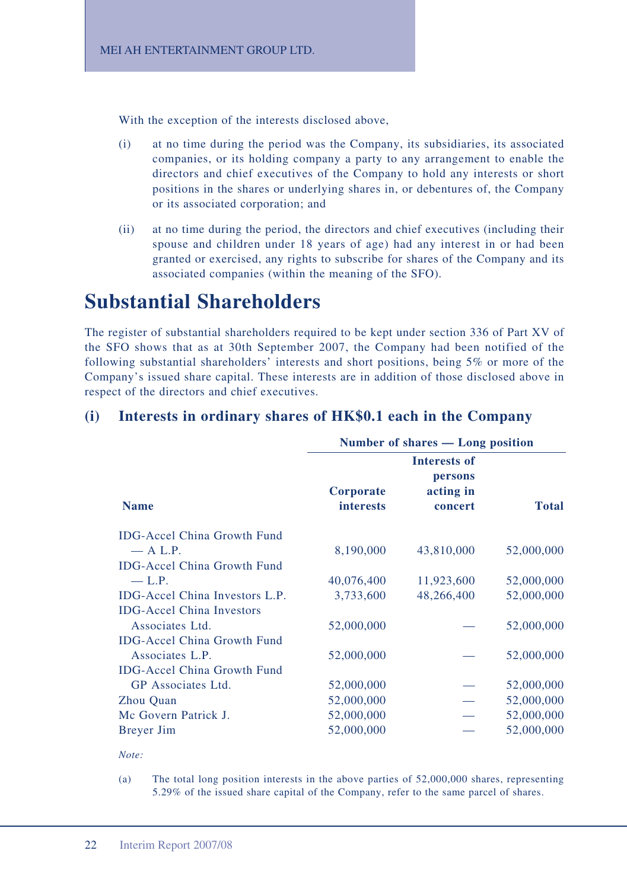With the exception of the interests disclosed above,

- (i) at no time during the period was the Company, its subsidiaries, its associated companies, or its holding company a party to any arrangement to enable the directors and chief executives of the Company to hold any interests or short positions in the shares or underlying shares in, or debentures of, the Company or its associated corporation; and
- (ii) at no time during the period, the directors and chief executives (including their spouse and children under 18 years of age) had any interest in or had been granted or exercised, any rights to subscribe for shares of the Company and its associated companies (within the meaning of the SFO).

## **Substantial Shareholders**

The register of substantial shareholders required to be kept under section 336 of Part XV of the SFO shows that as at 30th September 2007, the Company had been notified of the following substantial shareholders' interests and short positions, being 5% or more of the Company's issued share capital. These interests are in addition of those disclosed above in respect of the directors and chief executives.

| <b>Name</b>                        | Number of shares — Long position |                      |              |
|------------------------------------|----------------------------------|----------------------|--------------|
|                                    | Interests of<br>persons          |                      |              |
|                                    | Corporate<br><b>interests</b>    | acting in<br>concert | <b>Total</b> |
| <b>IDG-Accel China Growth Fund</b> |                                  |                      |              |
| $-$ A L.P.                         | 8,190,000                        | 43,810,000           | 52,000,000   |
| <b>IDG-Accel China Growth Fund</b> |                                  |                      |              |
| $-$ L.P.                           | 40,076,400                       | 11,923,600           | 52,000,000   |
| IDG-Accel China Investors L.P.     | 3,733,600                        | 48,266,400           | 52,000,000   |
| <b>IDG-Accel China Investors</b>   |                                  |                      |              |
| Associates Ltd.                    | 52,000,000                       |                      | 52,000,000   |
| <b>IDG-Accel China Growth Fund</b> |                                  |                      |              |
| Associates L.P.                    | 52,000,000                       |                      | 52,000,000   |
| <b>IDG-Accel China Growth Fund</b> |                                  |                      |              |
| GP Associates Ltd.                 | 52,000,000                       |                      | 52,000,000   |
| Zhou Quan                          | 52,000,000                       |                      | 52,000,000   |
| Mc Govern Patrick J.               | 52,000,000                       |                      | 52,000,000   |
| Breyer Jim                         | 52,000,000                       |                      | 52,000,000   |
|                                    |                                  |                      |              |

### **(i) Interests in ordinary shares of HK\$0.1 each in the Company**

*Note:*

(a) The total long position interests in the above parties of 52,000,000 shares, representing 5.29% of the issued share capital of the Company, refer to the same parcel of shares.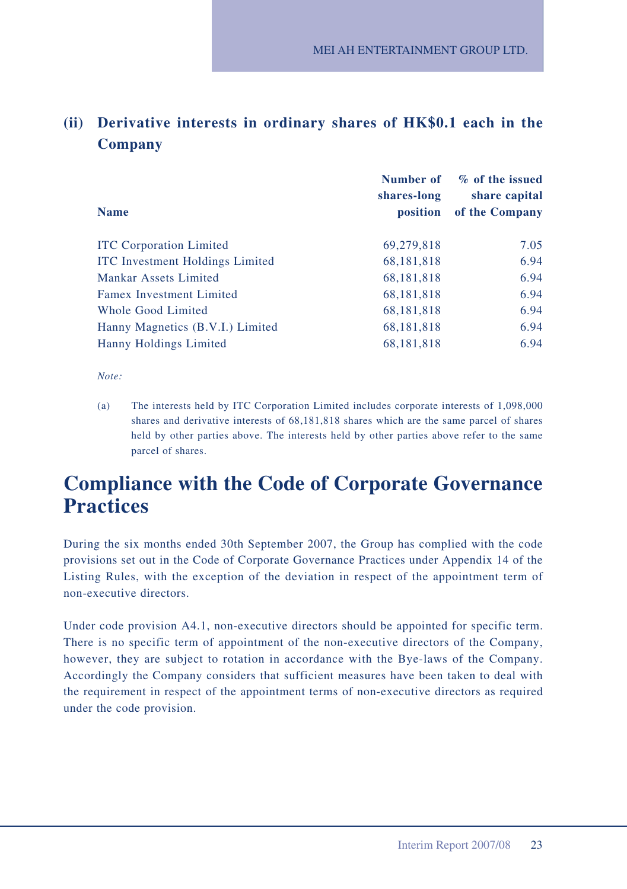## **(ii) Derivative interests in ordinary shares of HK\$0.1 each in the Company**

|                                        | Number of<br>shares-long | % of the issued<br>share capital |
|----------------------------------------|--------------------------|----------------------------------|
| <b>Name</b>                            | position                 | of the Company                   |
| <b>ITC</b> Corporation Limited         | 69,279,818               | 7.05                             |
| <b>ITC</b> Investment Holdings Limited | 68,181,818               | 6.94                             |
| Mankar Assets Limited                  | 68, 181, 818             | 6.94                             |
| <b>Famex Investment Limited</b>        | 68, 181, 818             | 6.94                             |
| Whole Good Limited                     | 68, 181, 818             | 6.94                             |
| Hanny Magnetics (B.V.I.) Limited       | 68,181,818               | 6.94                             |
| Hanny Holdings Limited                 | 68,181,818               | 6.94                             |

*Note:*

(a) The interests held by ITC Corporation Limited includes corporate interests of 1,098,000 shares and derivative interests of 68,181,818 shares which are the same parcel of shares held by other parties above. The interests held by other parties above refer to the same parcel of shares.

## **Compliance with the Code of Corporate Governance Practices**

During the six months ended 30th September 2007, the Group has complied with the code provisions set out in the Code of Corporate Governance Practices under Appendix 14 of the Listing Rules, with the exception of the deviation in respect of the appointment term of non-executive directors.

Under code provision A4.1, non-executive directors should be appointed for specific term. There is no specific term of appointment of the non-executive directors of the Company, however, they are subject to rotation in accordance with the Bye-laws of the Company. Accordingly the Company considers that sufficient measures have been taken to deal with the requirement in respect of the appointment terms of non-executive directors as required under the code provision.